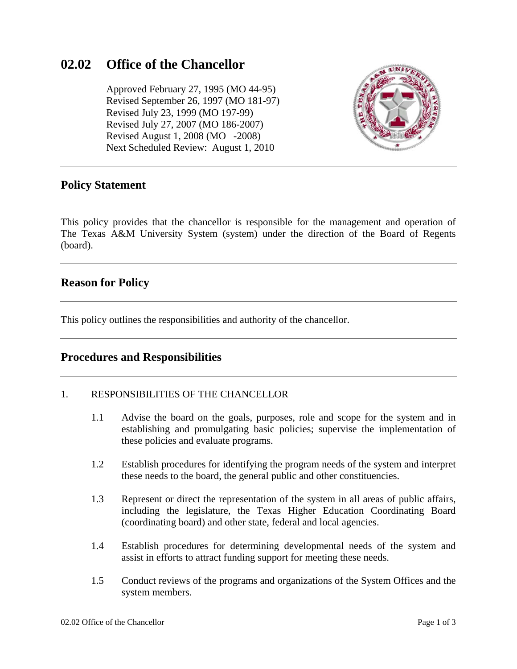# **02.02 Office of the Chancellor**

 Approved February 27, 1995 (MO 44-95) Revised September 26, 1997 (MO 181-97) Revised July 23, 1999 (MO 197-99) Revised July 27, 2007 (MO 186-2007) Revised August 1, 2008 (MO -2008) Next Scheduled Review: August 1, 2010



### **Policy Statement**

This policy provides that the chancellor is responsible for the management and operation of The Texas A&M University System (system) under the direction of the Board of Regents (board).

### **Reason for Policy**

This policy outlines the responsibilities and authority of the chancellor.

### **Procedures and Responsibilities**

#### 1. RESPONSIBILITIES OF THE CHANCELLOR

- 1.1 Advise the board on the goals, purposes, role and scope for the system and in establishing and promulgating basic policies; supervise the implementation of these policies and evaluate programs.
- 1.2 Establish procedures for identifying the program needs of the system and interpret these needs to the board, the general public and other constituencies.
- 1.3 Represent or direct the representation of the system in all areas of public affairs, including the legislature, the Texas Higher Education Coordinating Board (coordinating board) and other state, federal and local agencies.
- 1.4 Establish procedures for determining developmental needs of the system and assist in efforts to attract funding support for meeting these needs.
- 1.5 Conduct reviews of the programs and organizations of the System Offices and the system members.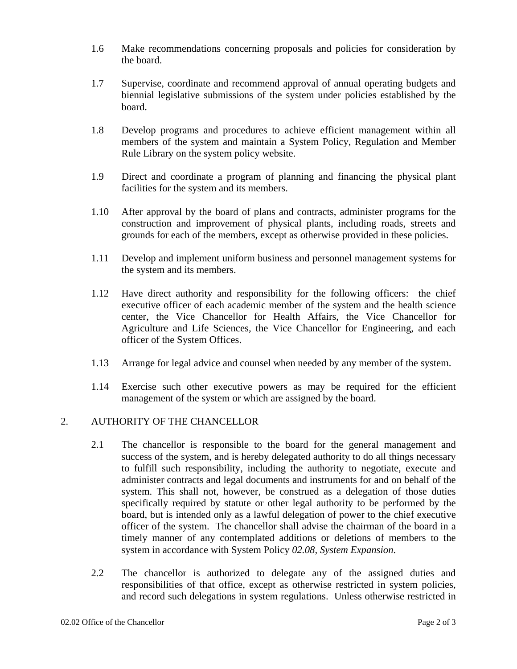- 1.6 Make recommendations concerning proposals and policies for consideration by the board.
- 1.7 Supervise, coordinate and recommend approval of annual operating budgets and biennial legislative submissions of the system under policies established by the board.
- 1.8 Develop programs and procedures to achieve efficient management within all members of the system and maintain a System Policy, Regulation and Member Rule Library on the system policy website.
- 1.9 Direct and coordinate a program of planning and financing the physical plant facilities for the system and its members.
- 1.10 After approval by the board of plans and contracts, administer programs for the construction and improvement of physical plants, including roads, streets and grounds for each of the members, except as otherwise provided in these policies.
- 1.11 Develop and implement uniform business and personnel management systems for the system and its members.
- 1.12 Have direct authority and responsibility for the following officers: the chief executive officer of each academic member of the system and the health science center, the Vice Chancellor for Health Affairs, the Vice Chancellor for Agriculture and Life Sciences, the Vice Chancellor for Engineering, and each officer of the System Offices.
- 1.13 Arrange for legal advice and counsel when needed by any member of the system.
- 1.14 Exercise such other executive powers as may be required for the efficient management of the system or which are assigned by the board.

#### 2. AUTHORITY OF THE CHANCELLOR

- 2.1 The chancellor is responsible to the board for the general management and success of the system, and is hereby delegated authority to do all things necessary to fulfill such responsibility, including the authority to negotiate, execute and administer contracts and legal documents and instruments for and on behalf of the system. This shall not, however, be construed as a delegation of those duties specifically required by statute or other legal authority to be performed by the board, but is intended only as a lawful delegation of power to the chief executive officer of the system. The chancellor shall advise the chairman of the board in a timely manner of any contemplated additions or deletions of members to the system in accordance with System Policy *02.08, System Expansion*.
- 2.2 The chancellor is authorized to delegate any of the assigned duties and responsibilities of that office, except as otherwise restricted in system policies, and record such delegations in system regulations. Unless otherwise restricted in